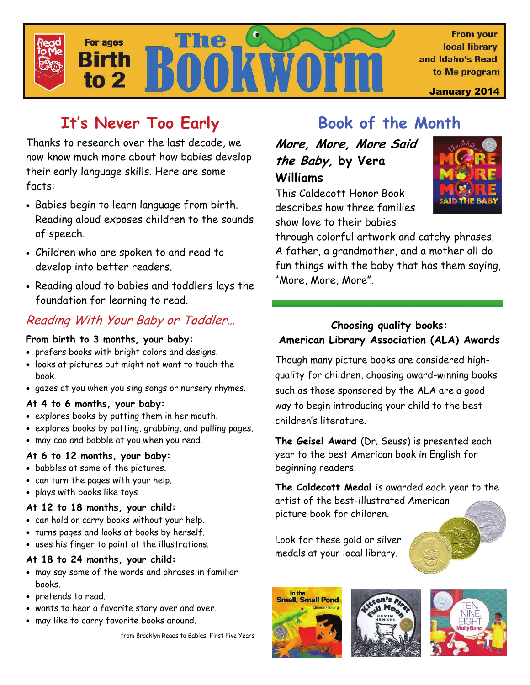

# **It's Never Too Early**

Thanks to research over the last decade, we now know much more about how babies develop their early language skills. Here are some facts:

- Babies begin to learn language from birth. Reading aloud exposes children to the sounds of speech.
- Children who are spoken to and read to develop into better readers.
- Reading aloud to babies and toddlers lays the foundation for learning to read.

# Reading With Your Baby or Toddler…

#### **From birth to 3 months, your baby:**

- prefers books with bright colors and designs.
- looks at pictures but might not want to touch the book.
- gazes at you when you sing songs or nursery rhymes.

#### **At 4 to 6 months, your baby:**

- explores books by putting them in her mouth.
- explores books by patting, grabbing, and pulling pages.
- may coo and babble at you when you read.

## **At 6 to 12 months, your baby:**

- babbles at some of the pictures.
- can turn the pages with your help.
- plays with books like toys.

### **At 12 to 18 months, your child:**

- can hold or carry books without your help.
- turns pages and looks at books by herself.
- uses his finger to point at the illustrations.

### **At 18 to 24 months, your child:**

- may say some of the words and phrases in familiar books.
- pretends to read.
- wants to hear a favorite story over and over.
- may like to carry favorite books around.

- from Brooklyn Reads to Babies: First Five Years

# **Book of the Month**

**More, More, More Said the Baby, by Vera Williams** 



This Caldecott Honor Book describes how three families show love to their babies

through colorful artwork and catchy phrases. A father, a grandmother, and a mother all do fun things with the baby that has them saying, "More, More, More".

## **Choosing quality books: American Library Association (ALA) Awards**

Though many picture books are considered highquality for children, choosing award-winning books such as those sponsored by the ALA are a good way to begin introducing your child to the best children's literature.

**The Geisel Award** (Dr. Seuss) is presented each year to the best American book in English for beginning readers.

**The Caldecott Medal** is awarded each year to the artist of the best-illustrated American picture book for children.

Look for these gold or silver medals at your local library.